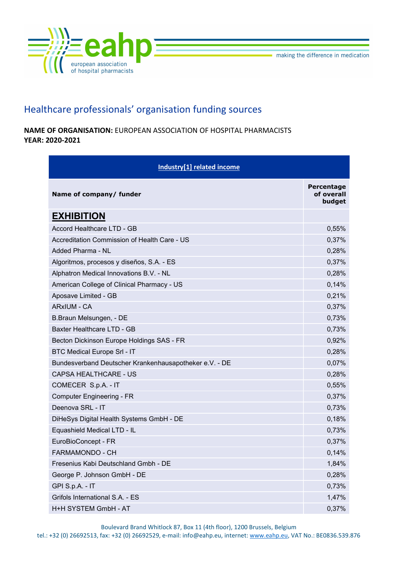

## Healthcare professionals' organisation funding sources

NAME OF ORGANISATION: EUROPEAN ASSOCIATION OF HOSPITAL PHARMACISTS YEAR: 2020-2021

| Industry[1] related income                             |                                           |
|--------------------------------------------------------|-------------------------------------------|
| Name of company/ funder                                | <b>Percentage</b><br>of overall<br>budget |
| <b>EXHIBITION</b>                                      |                                           |
| Accord Healthcare LTD - GB                             | 0,55%                                     |
| Accreditation Commission of Health Care - US           | 0,37%                                     |
| Added Pharma - NL                                      | 0,28%                                     |
| Algoritmos, procesos y diseños, S.A. - ES              | 0,37%                                     |
| Alphatron Medical Innovations B.V. - NL                | 0,28%                                     |
| American College of Clinical Pharmacy - US             | 0,14%                                     |
| Aposave Limited - GB                                   | 0,21%                                     |
| <b>ARxIUM - CA</b>                                     | 0,37%                                     |
| B.Braun Melsungen, - DE                                | 0,73%                                     |
| <b>Baxter Healthcare LTD - GB</b>                      | 0,73%                                     |
| Becton Dickinson Europe Holdings SAS - FR              | 0,92%                                     |
| <b>BTC Medical Europe Srl - IT</b>                     | 0,28%                                     |
| Bundesverband Deutscher Krankenhausapotheker e.V. - DE | 0,07%                                     |
| <b>CAPSA HEALTHCARE - US</b>                           | 0,28%                                     |
| COMECER S.p.A. - IT                                    | 0,55%                                     |
| <b>Computer Engineering - FR</b>                       | 0,37%                                     |
| Deenova SRL - IT                                       | 0,73%                                     |
| DiHeSys Digital Health Systems GmbH - DE               | 0,18%                                     |
| Equashield Medical LTD - IL                            | 0,73%                                     |
| EuroBioConcept - FR                                    | 0,37%                                     |
| <b>FARMAMONDO - CH</b>                                 | 0.14%                                     |
| Fresenius Kabi Deutschland Gmbh - DE                   | 1,84%                                     |
| George P. Johnson GmbH - DE                            | 0,28%                                     |
| GPI S.p.A. - IT                                        | 0,73%                                     |
| Grifols International S.A. - ES                        | 1,47%                                     |
| H+H SYSTEM GmbH - AT                                   | 0,37%                                     |

Boulevard Brand Whitlock 87, Box 11 (4th floor), 1200 Brussels, Belgium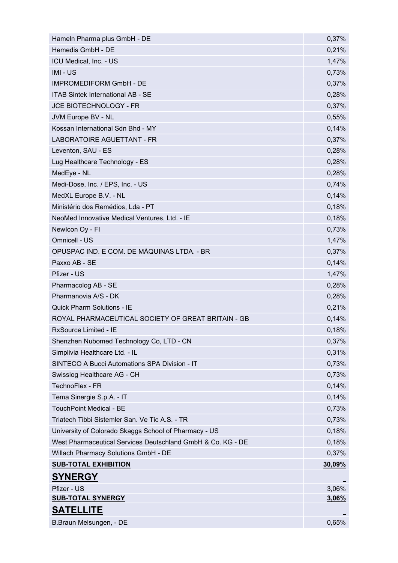| Hameln Pharma plus GmbH - DE                                | 0,37%         |
|-------------------------------------------------------------|---------------|
| Hemedis GmbH - DE                                           | 0,21%         |
| ICU Medical, Inc. - US                                      | 1,47%         |
| IMI-US                                                      | 0,73%         |
| <b>IMPROMEDIFORM GmbH - DE</b>                              | 0,37%         |
| <b>ITAB Sintek International AB - SE</b>                    | 0,28%         |
| JCE BIOTECHNOLOGY - FR                                      | 0,37%         |
| JVM Europe BV - NL                                          | 0,55%         |
| Kossan International Sdn Bhd - MY                           | 0,14%         |
| LABORATOIRE AGUETTANT - FR                                  | 0,37%         |
| Leventon, SAU - ES                                          | 0,28%         |
| Lug Healthcare Technology - ES                              | 0,28%         |
| MedEye - NL                                                 | 0,28%         |
| Medi-Dose, Inc. / EPS, Inc. - US                            | 0,74%         |
| MedXL Europe B.V. - NL                                      | 0,14%         |
| Ministério dos Remédios, Lda - PT                           | 0,18%         |
| NeoMed Innovative Medical Ventures, Ltd. - IE               | 0,18%         |
| Newlcon Oy - FI                                             | 0,73%         |
| Omnicell - US                                               | 1,47%         |
| OPUSPAC IND. E COM. DE MÁQUINAS LTDA. - BR                  | 0,37%         |
| Paxxo AB - SE                                               | 0,14%         |
| Pfizer - US                                                 | 1,47%         |
| Pharmacolog AB - SE                                         | 0,28%         |
| Pharmanovia A/S - DK                                        | 0,28%         |
| <b>Quick Pharm Solutions - IE</b>                           | 0,21%         |
| ROYAL PHARMACEUTICAL SOCIETY OF GREAT BRITAIN - GB          | 0,14%         |
| RxSource Limited - IE                                       | 0,18%         |
| Shenzhen Nubomed Technology Co, LTD - CN                    | 0,37%         |
| Simplivia Healthcare Ltd. - IL                              | 0,31%         |
| SINTECO A Bucci Automations SPA Division - IT               | 0,73%         |
| Swisslog Healthcare AG - CH                                 | 0,73%         |
| TechnoFlex - FR                                             | 0,14%         |
| Tema Sinergie S.p.A. - IT                                   | 0,14%         |
| <b>TouchPoint Medical - BE</b>                              | 0,73%         |
| Triatech Tibbi Sistemler San. Ve Tic A.S. - TR              | 0,73%         |
| University of Colorado Skaggs School of Pharmacy - US       | 0,18%         |
| West Pharmaceutical Services Deutschland GmbH & Co. KG - DE | 0,18%         |
| Willach Pharmacy Solutions GmbH - DE                        | 0,37%         |
| <b>SUB-TOTAL EXHIBITION</b>                                 | <u>30,09%</u> |
| <b>SYNERGY</b>                                              |               |
| Pfizer - US                                                 | 3,06%         |
| <b>SUB-TOTAL SYNERGY</b>                                    | 3,06%         |
| <u>SATELLITE</u>                                            |               |
| B.Braun Melsungen, - DE                                     | 0,65%         |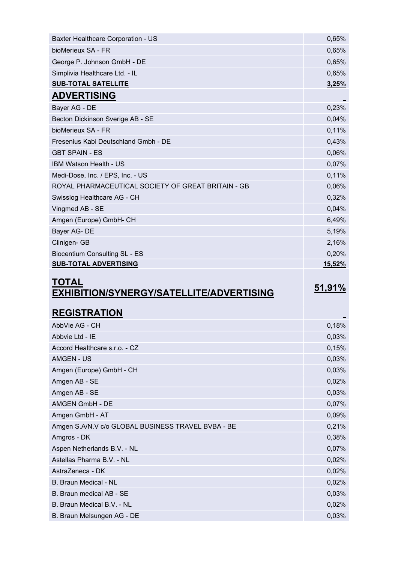| Baxter Healthcare Corporation - US                 | 0,65%  |
|----------------------------------------------------|--------|
| bioMerieux SA - FR                                 | 0,65%  |
| George P. Johnson GmbH - DE                        | 0,65%  |
| Simplivia Healthcare Ltd. - IL                     | 0,65%  |
| <b>SUB-TOTAL SATELLITE</b>                         | 3,25%  |
| <b>ADVERTISING</b>                                 |        |
| Bayer AG - DE                                      | 0,23%  |
| Becton Dickinson Sverige AB - SE                   | 0,04%  |
| bioMerieux SA - FR                                 | 0,11%  |
| Fresenius Kabi Deutschland Gmbh - DE               | 0,43%  |
| <b>GBT SPAIN - ES</b>                              | 0,06%  |
| IBM Watson Health - US                             | 0,07%  |
| Medi-Dose, Inc. / EPS, Inc. - US                   | 0,11%  |
| ROYAL PHARMACEUTICAL SOCIETY OF GREAT BRITAIN - GB | 0,06%  |
| Swisslog Healthcare AG - CH                        | 0,32%  |
| Vingmed AB - SE                                    | 0,04%  |
| Amgen (Europe) GmbH- CH                            | 6,49%  |
| Bayer AG-DE                                        | 5,19%  |
| Clinigen- GB                                       | 2,16%  |
| <b>Biocentium Consulting SL - ES</b>               | 0,20%  |
| <b>SUB-TOTAL ADVERTISING</b>                       | 15,52% |
|                                                    |        |

## TOTAL <u>FOTAL</u><br>EXHIBITION/SYNERGY/SATELLITE/ADVERTISING 51,91%

| 0,18% |
|-------|
| 0,03% |
| 0,15% |
| 0,03% |
| 0,03% |
| 0,02% |
| 0,03% |
| 0,07% |
| 0,09% |
| 0,21% |
| 0,38% |
| 0,07% |
| 0,02% |
| 0,02% |
| 0,02% |
| 0,03% |
| 0,02% |
| 0,03% |
|       |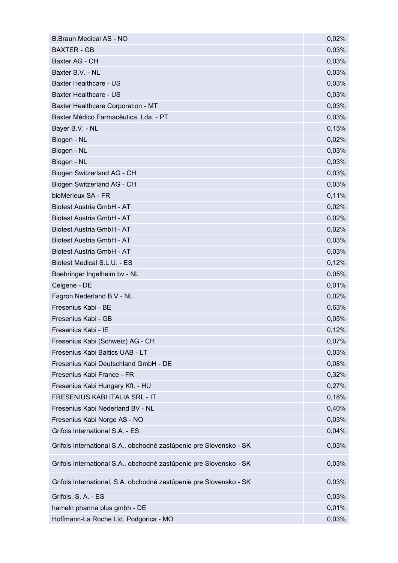| <b>B.Braun Medical AS - NO</b>                                     | 0,02% |
|--------------------------------------------------------------------|-------|
| <b>BAXTER - GB</b>                                                 | 0,03% |
| Baxter AG - CH                                                     | 0,03% |
| Baxter B.V. - NL                                                   | 0,03% |
| <b>Baxter Healthcare - US</b>                                      | 0,03% |
| <b>Baxter Healthcare - US</b>                                      | 0,03% |
| Baxter Healthcare Corporation - MT                                 | 0,03% |
| Baxter Médico Farmacêutica, Lda. - PT                              | 0,03% |
| Bayer B.V. - NL                                                    | 0,15% |
| Biogen - NL                                                        | 0,02% |
| Biogen - NL                                                        | 0,03% |
| Biogen - NL                                                        | 0,03% |
| Biogen Switzerland AG - CH                                         | 0,03% |
| Biogen Switzerland AG - CH                                         | 0,03% |
| bioMerieux SA - FR                                                 | 0,11% |
| Biotest Austria GmbH - AT                                          | 0,02% |
| Biotest Austria GmbH - AT                                          | 0,02% |
| Biotest Austria GmbH - AT                                          | 0,02% |
| Biotest Austria GmbH - AT                                          | 0,03% |
| Biotest Austria GmbH - AT                                          | 0,03% |
| Biotest Medical S.L.U. - ES                                        | 0,12% |
| Boehringer Ingelheim bv - NL                                       | 0,05% |
| Celgene - DE                                                       | 0,01% |
| Fagron Nederland B.V - NL                                          | 0,02% |
| Fresenius Kabi - BE                                                | 0,63% |
| Fresenius Kabi - GB                                                | 0,05% |
| Fresenius Kabi - IE                                                | 0,12% |
| Fresenius Kabi (Schweiz) AG - CH                                   | 0,07% |
| Fresenius Kabi Baltics UAB - LT                                    | 0,03% |
| Fresenius Kabi Deutschland GmbH - DE                               | 0,08% |
| Fresenius Kabi France - FR                                         | 0,32% |
| Fresenius Kabi Hungary Kft. - HU                                   | 0,27% |
| FRESENIUS KABI ITALIA SRL - IT                                     | 0,18% |
| Fresenius Kabi Nederland BV - NL                                   | 0,40% |
| Fresenius Kabi Norge AS - NO                                       | 0,03% |
| Grifols International S.A. - ES                                    | 0,04% |
| Grifols International S.A., obchodné zastúpenie pre Slovensko - SK | 0,03% |
| Grifols International S.A., obchodné zastúpenie pre Slovensko - SK | 0,03% |
| Grifols International, S.A. obchodné zastúpenie pre Slovensko - SK | 0,03% |
| Grifols, S. A. - ES                                                | 0,03% |
| hameln pharma plus gmbh - DE                                       | 0,01% |
| Hoffmann-La Roche Ltd. Podgorica - MO                              | 0,03% |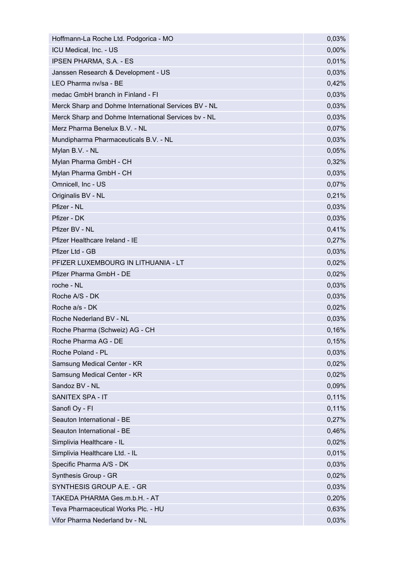| Hoffmann-La Roche Ltd. Podgorica - MO                | 0,03%    |
|------------------------------------------------------|----------|
| ICU Medical, Inc. - US                               | $0,00\%$ |
| <b>IPSEN PHARMA, S.A. - ES</b>                       | 0,01%    |
| Janssen Research & Development - US                  | 0,03%    |
| LEO Pharma nv/sa - BE                                | 0,42%    |
| medac GmbH branch in Finland - FI                    | 0,03%    |
| Merck Sharp and Dohme International Services BV - NL | 0,03%    |
| Merck Sharp and Dohme International Services bv - NL | 0,03%    |
| Merz Pharma Benelux B.V. - NL                        | 0,07%    |
| Mundipharma Pharmaceuticals B.V. - NL                | 0,03%    |
| Mylan B.V. - NL                                      | 0,05%    |
| Mylan Pharma GmbH - CH                               | 0,32%    |
| Mylan Pharma GmbH - CH                               | 0,03%    |
| Omnicell, Inc - US                                   | 0,07%    |
| Originalis BV - NL                                   | 0,21%    |
| Pfizer - NL                                          | 0,03%    |
| Pfizer - DK                                          | 0,03%    |
| Pfizer BV - NL                                       | 0,41%    |
| Pfizer Healthcare Ireland - IE                       | 0,27%    |
| Pfizer Ltd - GB                                      | 0,03%    |
| PFIZER LUXEMBOURG IN LITHUANIA - LT                  | 0,02%    |
| Pfizer Pharma GmbH - DE                              | 0,02%    |
| roche - NL                                           | 0,03%    |
| Roche A/S - DK                                       | 0,03%    |
| Roche a/s - DK                                       | 0,02%    |
| Roche Nederland BV - NL                              | 0,03%    |
| Roche Pharma (Schweiz) AG - CH                       | 0,16%    |
| Roche Pharma AG - DE                                 | 0,15%    |
| Roche Poland - PL                                    | 0,03%    |
| Samsung Medical Center - KR                          | 0,02%    |
| Samsung Medical Center - KR                          | 0,02%    |
| Sandoz BV - NL                                       | 0,09%    |
| SANITEX SPA - IT                                     | 0,11%    |
| Sanofi Oy - Fl                                       | 0,11%    |
| Seauton International - BE                           | 0,27%    |
| Seauton International - BE                           | 0,46%    |
| Simplivia Healthcare - IL                            | 0,02%    |
| Simplivia Healthcare Ltd. - IL                       | 0,01%    |
| Specific Pharma A/S - DK                             | 0,03%    |
| Synthesis Group - GR                                 | 0,02%    |
| SYNTHESIS GROUP A.E. - GR                            | 0,03%    |
|                                                      |          |
| TAKEDA PHARMA Ges.m.b.H. - AT                        | 0,20%    |
| Teva Pharmaceutical Works Plc. - HU                  | 0,63%    |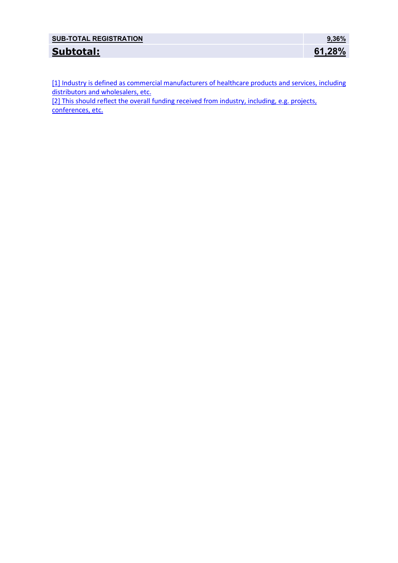| <b>SUB-TOTAL REGISTRATION</b> | $9.36\%$ |
|-------------------------------|----------|
| Subtotal:                     | 61,28%   |

[1] Industry is defined as commercial manufacturers of healthcare products and services, including distributors and wholesalers, etc.

[2] This should reflect the overall funding received from industry, including, e.g. projects, conferences, etc.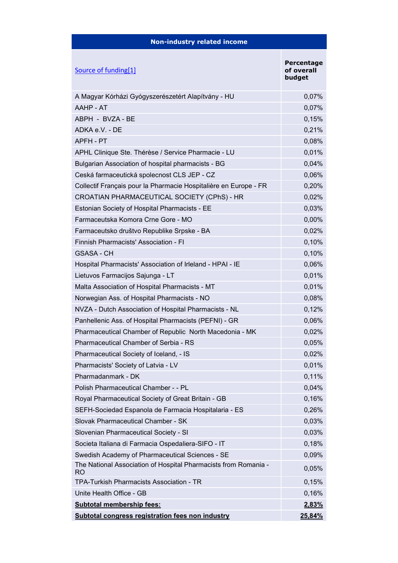| <b>Non-industry related income</b>                                           |                                    |
|------------------------------------------------------------------------------|------------------------------------|
| Source of funding[1]                                                         | Percentage<br>of overall<br>budget |
| A Magyar Kórházi Gyógyszerészetért Alapítvány - HU                           | 0,07%                              |
| AAHP - AT                                                                    | 0,07%                              |
| ABPH - BVZA - BE                                                             | 0,15%                              |
| ADKA e.V. - DE                                                               | 0,21%                              |
| APFH - PT                                                                    | 0,08%                              |
| APHL Clinique Ste. Thérèse / Service Pharmacie - LU                          | 0,01%                              |
| Bulgarian Association of hospital pharmacists - BG                           | 0,04%                              |
| Ceská farmaceutická spolecnost CLS JEP - CZ                                  | 0,06%                              |
| Collectif Français pour la Pharmacie Hospitalière en Europe - FR             | 0,20%                              |
| CROATIAN PHARMACEUTICAL SOCIETY (CPhS) - HR                                  | 0,02%                              |
| Estonian Society of Hospital Pharmacists - EE                                | 0,03%                              |
| Farmaceutska Komora Crne Gore - MO                                           | 0,00%                              |
| Farmaceutsko društvo Republike Srpske - BA                                   | 0,02%                              |
| Finnish Pharmacists' Association - FI                                        | 0,10%                              |
| <b>GSASA - CH</b>                                                            | 0,10%                              |
| Hospital Pharmacists' Association of Irleland - HPAI - IE                    | 0,06%                              |
| Lietuvos Farmacijos Sajunga - LT                                             | 0,01%                              |
| Malta Association of Hospital Pharmacists - MT                               | 0,01%                              |
| Norwegian Ass. of Hospital Pharmacists - NO                                  | 0,08%                              |
| NVZA - Dutch Association of Hospital Pharmacists - NL                        | 0,12%                              |
| Panhellenic Ass. of Hospital Pharmacists (PEFNI) - GR                        | 0,06%                              |
| Pharmaceutical Chamber of Republic North Macedonia - MK                      | 0,02%                              |
| Pharmaceutical Chamber of Serbia - RS                                        | 0,05%                              |
| Pharmaceutical Society of Iceland, - IS                                      | 0,02%                              |
| Pharmacists' Society of Latvia - LV                                          | 0,01%                              |
| Pharmadanmark - DK                                                           | 0,11%                              |
| Polish Pharmaceutical Chamber - - PL                                         | 0,04%                              |
| Royal Pharmaceutical Society of Great Britain - GB                           | 0,16%                              |
| SEFH-Sociedad Espanola de Farmacia Hospitalaria - ES                         | 0,26%                              |
| Slovak Pharmaceutical Chamber - SK                                           | 0,03%                              |
| Slovenian Pharmaceutical Society - SI                                        | 0,03%                              |
| Societa Italiana di Farmacia Ospedaliera-SIFO - IT                           | 0,18%                              |
| Swedish Academy of Pharmaceutical Sciences - SE                              | 0,09%                              |
| The National Association of Hospital Pharmacists from Romania -<br><b>RO</b> | 0,05%                              |
| TPA-Turkish Pharmacists Association - TR                                     | 0,15%                              |
| Unite Health Office - GB                                                     | 0,16%                              |
| <b>Subtotal membership fees:</b>                                             | 2,83%                              |
| <b>Subtotal congress registration fees non industry</b>                      | 25,84%                             |